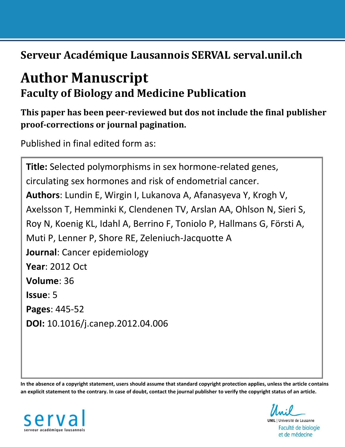**Serveur Académique Lausannois SERVAL serval.unil.ch**

# **Author Manuscript Faculty of Biology and Medicine Publication**

## **This paper has been peer-reviewed but dos not include the final publisher proof-corrections or journal pagination.**

Published in final edited form as:

**Title:** Selected polymorphisms in sex hormone-related genes, circulating sex hormones and risk of endometrial cancer. **Authors**: Lundin E, Wirgin I, Lukanova A, Afanasyeva Y, Krogh V, Axelsson T, Hemminki K, Clendenen TV, Arslan AA, Ohlson N, Sieri S, Roy N, Koenig KL, Idahl A, Berrino F, Toniolo P, Hallmans G, Försti A, Muti P, Lenner P, Shore RE, Zeleniuch-Jacquotte A **Journal**: Cancer epidemiology **Year**: 2012 Oct **Volume**: 36 **Issue**: 5 **Pages**: 445-52 **DOI:** [10.1016/j.canep.2012.04.006](http://dx.doi.org/10.1016/j.canep.2012.04.006)

**In the absence of a copyright statement, users should assume that standard copyright protection applies, unless the article contains an explicit statement to the contrary. In case of doubt, contact the journal publisher to verify the copyright status of an article.**



**UNIL** | Université de Lausanne Faculté de biologie et de médecine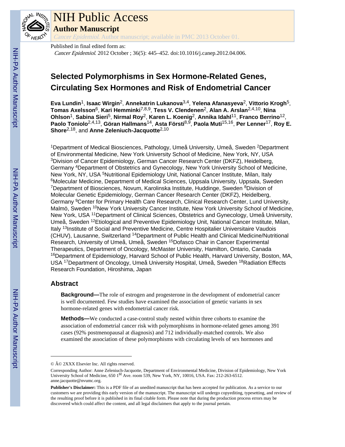

## NIH Public Access

**Author Manuscript**

Cancer Epidemiol. Author manuscript; available in PMC 2013 October 01.

Published in final edited form as: Cancer Epidemiol. 2012 October ; 36(5): 445–452. doi:10.1016/j.canep.2012.04.006.

### **Selected Polymorphisms in Sex Hormone-Related Genes, Circulating Sex Hormones and Risk of Endometrial Cancer**

**Eva Lundin**1, **Isaac Wirgin**2, **Annekatrin Lukanova**3,4, **Yelena Afanasyeva**2, **Vittorio Krogh**5, **Tomas Axelsson**6, **Kari Hemminki**7,8,9, **Tess V. Clendenen**2, **Alan A. Arslan**2,4,10, **Nina Ohlson**1, **Sabina Sieri**5, **Nirmal Roy**2, **Karen L. Koenig**2, **Annika Idahl**11, **Franco Berrino**12, **Paolo Toniolo**2,4,13, **Göran Hallmans**14, **Asta Försti**8,9, **Paola Muti**15,16, **Per Lenner**17, **Roy E. Shore**2,18, and **Anne Zeleniuch-Jacquotte**2,10

<sup>1</sup>Department of Medical Biosciences, Pathology, Umeå University, Umeå, Sweden <sup>2</sup>Department of Environmental Medicine, New York University School of Medicine, New York, NY, USA <sup>3</sup>Division of Cancer Epidemiology, German Cancer Research Center (DKFZ), Heidelberg, Germany <sup>4</sup>Department of Obstetrics and Gynecology, New York University School of Medicine, New York, NY, USA <sup>5</sup>Nutritional Epidemiology Unit, National Cancer Institute, Milan, Italy <sup>6</sup>Molecular Medicine, Department of Medical Sciences, Uppsala University, Uppsala, Sweden <sup>7</sup>Department of Biosciences, Novum, Karolinska Institute, Huddinge, Sweden <sup>8</sup>Division of Molecular Genetic Epidemiology, German Cancer Research Center (DKFZ), Heidelberg, Germany <sup>9</sup>Center for Primary Health Care Research, Clinical Research Center, Lund University, Malmö, Sweden <sup>10</sup>New York University Cancer Institute, New York University School of Medicine, New York, USA <sup>11</sup>Department of Clinical Sciences, Obstetrics and Gynecology, Umeå University, Umeå, Sweden <sup>12</sup>Etiological and Preventive Epidemiology Unit, National Cancer Institute, Milan, Italy <sup>13</sup>Institute of Social and Preventive Medicine, Centre Hospitalier Universitaire Vaudois (CHUV), Lausanne, Switzerland <sup>14</sup>Department of Public Health and Clinical Medicine/Nutritional Research, University of Umeå, Umeå, Sweden <sup>15</sup>Dofasco Chair in Cancer Experimental Therapeutics, Department of Oncology, McMaster University, Hamilton, Ontario, Canada <sup>16</sup>Department of Epidemiology, Harvard School of Public Health, Harvard University, Boston, MA, USA <sup>17</sup>Department of Oncology, Umeå University Hospital, Umeå, Sweden <sup>18</sup>Radiation Effects Research Foundation, Hiroshima, Japan

#### **Abstract**

**Background—**The role of estrogen and progesterone in the development of endometrial cancer is well documented. Few studies have examined the association of genetic variants in sex hormone-related genes with endometrial cancer risk.

**Methods—**We conducted a case-control study nested within three cohorts to examine the association of endometrial cancer risk with polymorphisms in hormone-related genes among 391 cases (92% postmenopausal at diagnosis) and 712 individually-matched controls. We also examined the association of these polymorphisms with circulating levels of sex hormones and

<sup>© © 2</sup>XXX Elsevier Inc. All rights reserved.

Corresponding Author: Anne Zeleniuch-Jacquotte, Department of Environmental Medicine, Division of Epidemiology, New York University School of Medicine, 650 1<sup>st</sup> Ave. room 539, New York, NY, 10016, USA. Fax: 212-263-6512. anne.jacquotte@nvumc.org.

**Publisher's Disclaimer:** This is a PDF file of an unedited manuscript that has been accepted for publication. As a service to our customers we are providing this early version of the manuscript. The manuscript will undergo copyediting, typesetting, and review of the resulting proof before it is published in its final citable form. Please note that during the production process errors may be discovered which could affect the content, and all legal disclaimers that apply to the journal pertain.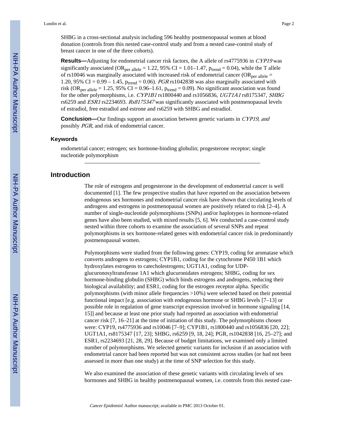SHBG in a cross-sectional analysis including 596 healthy postmenopausal women at blood donation (controls from this nested case-control study and from a nested case-control study of breast cancer in one of the three cohorts).

**Results—**Adjusting for endometrial cancer risk factors, the A allele of rs4775936 in CYP19 was significantly associated (OR<sub>per allele</sub> = 1.22, 95% CI = 1.01–1.47,  $p_{trend} = 0.04$ ), while the T allele of rs10046 was marginally associated with increased risk of endometrial cancer (OR<sub>per allele</sub> = 1.20, 95% CI =  $0.99 - 1.45$ ,  $p_{trend} = 0.06$ . *PGR* rs1042838 was also marginally associated with risk (OR<sub>per allele</sub> = 1.25, 95% CI = 0.96–1.61,  $p_{trend} = 0.09$ ). No significant association was found for the other polymorphisms, i.e. CYP1B1 rs1800440 and rs1056836, UGT1A1 rs8175347, SHBG rs6259 and ESR1 rs2234693. Rs8175347 was significantly associated with postmenopausal levels of estradiol, free estradiol and estrone and rs6259 with SHBG and estradiol.

**Conclusion—**Our findings support an association between genetic variants in CYP19, and possibly PGR, and risk of endometrial cancer.

#### **Keywords**

endometrial cancer; estrogen; sex hormone-binding globulin; progesterone receptor; single nucleotide polymorphism

#### **Introduction**

The role of estrogens and progesterone in the development of endometrial cancer is well documented [1]. The few prospective studies that have reported on the association between endogenous sex hormones and endometrial cancer risk have shown that circulating levels of androgens and estrogens in postmenopausal women are positively related to risk [2–4]. A number of single-nucleotide polymorphisms (SNPs) and/or haplotypes in hormone-related genes have also been studied, with mixed results [5, 6]. We conducted a case-control study nested within three cohorts to examine the association of several SNPs and repeat polymorphisms in sex hormone-related genes with endometrial cancer risk in predominantly postmenopausal women.

Polymorphisms were studied from the following genes: CYP19, coding for aromatase which converts androgens to estrogens; CYP1B1, coding for the cytochrome P450 1B1 which hydroxylates estrogens to catecholestrogens; UGT1A1, coding for UDPglucuronosyltransferase 1A1 which glucuronidates estrogens; SHBG, coding for sex hormone-binding globulin (SHBG) which binds estrogens and androgens, reducing their biological availability; and ESR1, coding for the estrogen receptor alpha. Specific polymorphisms (with minor allele frequencies >10%) were selected based on their potential functional impact [e.g. association with endogenous hormone or SHBG levels [7–13] or possible role in regulation of gene transcript expression involved in hormone signaling [14, 15]] and because at least one prior study had reported an association with endometrial cancer risk [7, 16–21] at the time of initiation of this study. The polymorphisms chosen were: CYP19, rs4775936 and rs10046 [7–9]; CYP1B1, rs1800440 and rs1056836 [20, 22]; UGT1A1, rs8175347 [17, 23]; SHBG, rs6259 [9, 18, 24]; PGR, rs1042838 [16, 25–27]; and ESR1, rs2234693 [21, 28, 29]. Because of budget limitations, we examined only a limited number of polymorphisms. We selected genetic variants for inclusion if an association with endometrial cancer had been reported but was not consistent across studies (or had not been assessed in more than one study) at the time of SNP selection for this study.

We also examined the association of these genetic variants with circulating levels of sex hormones and SHBG in healthy postmenopausal women, i.e. controls from this nested case-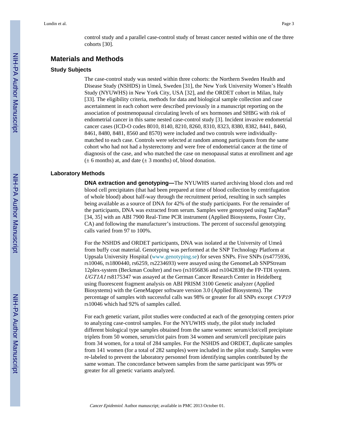control study and a parallel case-control study of breast cancer nested within one of the three cohorts [30].

#### **Materials and Methods**

#### **Study Subjects**

The case-control study was nested within three cohorts: the Northern Sweden Health and Disease Study (NSHDS) in Umeå, Sweden [31], the New York University Women's Health Study (NYUWHS) in New York City, USA [32], and the ORDET cohort in Milan, Italy [33]. The eligibility criteria, methods for data and biological sample collection and case ascertainment in each cohort were described previously in a manuscript reporting on the association of postmenopausal circulating levels of sex hormones and SHBG with risk of endometrial cancer in this same nested case-control study [3]. Incident invasive endometrial cancer cases (ICD-O codes 8010, 8140, 8210, 8260, 8310, 8323, 8380, 8382, 8441, 8460, 8461, 8480, 8481, 8560 and 8570) were included and two controls were individuallymatched to each case. Controls were selected at random among participants from the same cohort who had not had a hysterectomy and were free of endometrial cancer at the time of diagnosis of the case, and who matched the case on menopausal status at enrollment and age  $(\pm 6$  months) at, and date  $(\pm 3$  months) of, blood donation.

#### **Laboratory Methods**

**DNA extraction and genotyping—**The NYUWHS started archiving blood clots and red blood cell precipitates (that had been prepared at time of blood collection by centrifugation of whole blood) about half-way through the recruitment period, resulting in such samples being available as a source of DNA for 42% of the study participants. For the remainder of the participants, DNA was extracted from serum. Samples were genotyped using TaqMan® [34, 35] with an ABI 7900 Real-Time PCR instrument (Applied Biosystems, Foster City, CA) and following the manufacturer's instructions. The percent of successful genotyping calls varied from 97 to 100%.

For the NSHDS and ORDET participants, DNA was isolated at the University of Umeå from buffy coat material. Genotyping was performed at the SNP Technology Platform at Uppsala University Hospital ([www.genotyping.se\)](http://www.genotyping.se/) for seven SNPs. Five SNPs (rs4775936, rs10046, rs1800440, rs6259, rs2234693) were assayed using the GenomeLab SNPStream 12plex-system (Beckman Coulter) and two (rs1056836 and rs1042838) the FP-TDI system. UGT1A1 rs8175347 was assayed at the German Cancer Research Center in Heidelberg using fluorescent fragment analysis on ABI PRISM 3100 Genetic analyzer (Applied Biosystems) with the GeneMapper software version 3.0 (Applied Biosystems). The percentage of samples with successful calls was 98% or greater for all SNPs except CYP19 rs10046 which had 92% of samples called.

For each genetic variant, pilot studies were conducted at each of the genotyping centers prior to analyzing case-control samples. For the NYUWHS study, the pilot study included different biological type samples obtained from the same women: serum/clot/cell precipitate triplets from 50 women, serum/clot pairs from 34 women and serum/cell precipitate pairs from 34 women, for a total of 284 samples. For the NSHDS and ORDET, duplicate samples from 141 women (for a total of 282 samples) were included in the pilot study. Samples were re-labeled to prevent the laboratory personnel from identifying samples contributed by the same woman. The concordance between samples from the same participant was 99% or greater for all genetic variants analyzed.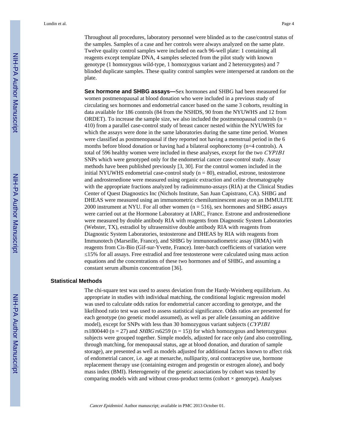Lundin et al. Page 4

Throughout all procedures, laboratory personnel were blinded as to the case/control status of the samples. Samples of a case and her controls were always analyzed on the same plate. Twelve quality control samples were included on each 96-well plate: 1 containing all reagents except template DNA, 4 samples selected from the pilot study with known genotype (1 homozygous wild-type, 1 homozygous variant and 2 heterozygotes) and 7 blinded duplicate samples. These quality control samples were interspersed at random on the plate.

**Sex hormone and SHBG assays—**Sex hormones and SHBG had been measured for women postmenopausal at blood donation who were included in a previous study of circulating sex hormones and endometrial cancer based on the same 3 cohorts, resulting in data available for 186 controls (84 from the NSHDS, 90 from the NYUWHS and 12 from ORDET). To increase the sample size, we also included the postmenopausal controls ( $n =$ 410) from a parallel case-control study of breast cancer nested within the NYUWHS for which the assays were done in the same laboratories during the same time period. Women were classified as postmenopausal if they reported not having a menstrual period in the 6 months before blood donation or having had a bilateral oophorectomy (n=4 controls). A total of 596 healthy women were included in these analyses, except for the two CYP1B1 SNPs which were genotyped only for the endometrial cancer case-control study. Assay methods have been published previously [3, 30]. For the control women included in the initial NYUWHS endometrial case-control study (n = 80), estradiol, estrone, testosterone and androstenedione were measured using organic extraction and celite chromatography with the appropriate fractions analyzed by radioimmuno-assays (RIA) at the Clinical Studies Center of Quest Diagnostics Inc (Nichols Institute, San Juan Capistrano, CA). SHBG and DHEAS were measured using an immunometric chemiluminescent assay on an IMMULITE 2000 instrument at NYU. For all other women  $(n = 516)$ , sex hormones and SHBG assays were carried out at the Hormone Laboratory at IARC, France. Estrone and androstenedione were measured by double antibody RIA with reagents from Diagnostic System Laboratories (Webster, TX), estradiol by ultrasensitive double antibody RIA with reagents from Diagnostic System Laboratories, testosterone and DHEAS by RIA with reagents from Immunotech (Marseille, France), and SHBG by immunoradiometric assay (IRMA) with reagents from Cis-Bio (Gif-sur-Yvette, France). Inter-batch coefficients of variation were ≤15% for all assays. Free estradiol and free testosterone were calculated using mass action equations and the concentrations of these two hormones and of SHBG, and assuming a

#### **Statistical Methods**

The chi-square test was used to assess deviation from the Hardy-Weinberg equilibrium. As appropriate in studies with individual matching, the conditional logistic regression model was used to calculate odds ratios for endometrial cancer according to genotype, and the likelihood ratio test was used to assess statistical significance. Odds ratios are presented for each genotype (no genetic model assumed), as well as per allele (assuming an additive model), except for SNPs with less than 30 homozygous variant subjects (*CYP1B1*) rs1800440 ( $n = 27$ ) and *SHBG* rs6259 ( $n = 15$ )) for which homozygous and heterozygous subjects were grouped together. Simple models, adjusted for race only (and also controlling, through matching, for menopausal status, age at blood donation, and duration of sample storage), are presented as well as models adjusted for additional factors known to affect risk of endometrial cancer, i.e. age at menarche, nulliparity, oral contraceptive use, hormone replacement therapy use (containing estrogen and progestin or estrogen alone), and body mass index (BMI). Heterogeneity of the genetic associations by cohort was tested by comparing models with and without cross-product terms (cohort × genotype). Analyses

Cancer Epidemiol. Author manuscript; available in PMC 2013 October 01.

constant serum albumin concentration [36].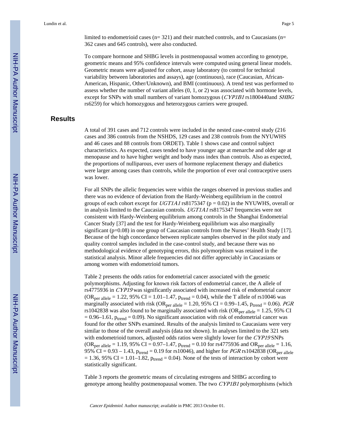limited to endometrioid cases  $(n= 321)$  and their matched controls, and to Caucasians  $(n=$ 362 cases and 645 controls), were also conducted.

To compare hormone and SHBG levels in postmenopausal women according to genotype, geometric means and 95% confidence intervals were computed using general linear models. Geometric means were adjusted for cohort, assay laboratory (to control for technical variability between laboratories and assays), age (continuous), race (Caucasian, African-American, Hispanic, Other/Unknown), and BMI (continuous). A trend test was performed to assess whether the number of variant alleles (0, 1, or 2) was associated with hormone levels, except for SNPs with small numbers of variant homozygous (CYP1B1 rs1800440and SHBG rs6259) for which homozygous and heterozygous carriers were grouped.

#### **Results**

A total of 391 cases and 712 controls were included in the nested case-control study (216 cases and 386 controls from the NSHDS, 129 cases and 238 controls from the NYUWHS and 46 cases and 88 controls from ORDET). Table 1 shows case and control subject characteristics. As expected, cases tended to have younger age at menarche and older age at menopause and to have higher weight and body mass index than controls. Also as expected, the proportions of nulliparous, ever users of hormone replacement therapy and diabetics were larger among cases than controls, while the proportion of ever oral contraceptive users was lower.

For all SNPs the allelic frequencies were within the ranges observed in previous studies and there was no evidence of deviation from the Hardy-Weinberg equilibrium in the control groups of each cohort except for  $UGTIA1$  rs8175347 (p = 0.02) in the NYUWHS, overall or in analysis limited to the Caucasian controls. UGT1A1 rs8175347 frequencies were not consistent with Hardy-Weinberg equilibrium among controls in the Shanghai Endometrial Cancer Study [37] and the test for Hardy-Weinberg equilibrium was also marginally significant (p=0.08) in one group of Caucasian controls from the Nurses' Health Study [17]. Because of the high concordance between replicate samples observed in the pilot study and quality control samples included in the case-control study, and because there was no methodological evidence of genotyping errors, this polymorphism was retained in the statistical analysis. Minor allele frequencies did not differ appreciably in Caucasians or among women with endometrioid tumors.

Table 2 presents the odds ratios for endometrial cancer associated with the genetic polymorphisms. Adjusting for known risk factors of endometrial cancer, the A allele of rs4775936 in CYP19 was significantly associated with increased risk of endometrial cancer (OR<sub>per allele</sub> = 1.22, 95% CI = 1.01–1.47,  $p_{trend} = 0.04$ ), while the T allele of rs10046 was marginally associated with risk (OR<sub>per allele</sub> = 1.20, 95% CI = 0.99–1.45, p<sub>trend</sub> = 0.06). PGR rs1042838 was also found to be marginally associated with risk (OR<sub>per allele</sub> = 1.25, 95% CI  $= 0.96$ –1.61,  $p_{trend} = 0.09$ ). No significant association with risk of endometrial cancer was found for the other SNPs examined. Results of the analysis limited to Caucasians were very similar to those of the overall analysis (data not shown). In analyses limited to the 321 sets with endometrioid tumors, adjusted odds ratios were slightly lower for the CYP19 SNPs  $(OR_{per\, allele} = 1.19, 95\% \ CI = 0.97 - 1.47, p_{trend} = 0.10$  for rs4775936 and  $OR_{per\, allele} = 1.16$ , 95% CI = 0.93 – 1.43,  $p_{trend} = 0.19$  for rs10046), and higher for *PGR* rs1042838 (OR<sub>per allele</sub>  $= 1.36$ , 95% CI = 1.01–1.82,  $p_{trend} = 0.04$ ). None of the tests of interaction by cohort were statistically significant.

Table 3 reports the geometric means of circulating estrogens and SHBG according to genotype among healthy postmenopausal women. The two CYP1B1 polymorphisms (which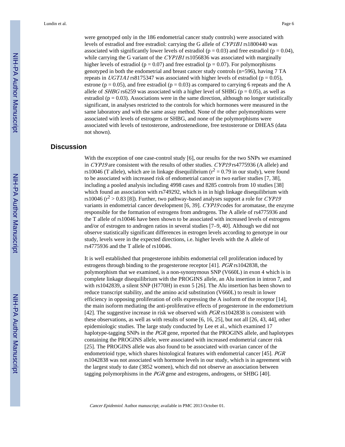were genotyped only in the 186 endometrial cancer study controls) were associated with levels of estradiol and free estradiol: carrying the G allele of CYP1B1 rs1800440 was associated with significantly lower levels of estradiol ( $p = 0.03$ ) and free estradiol ( $p = 0.04$ ), while carrying the G variant of the CYP1B1 rs1056836 was associated with marginally higher levels of estradiol ( $p = 0.07$ ) and free estradiol ( $p = 0.07$ ). For polymorphisms genotyped in both the endometrial and breast cancer study controls (n=596), having 7 TA repeats in UGT1A1 rs8175347 was associated with higher levels of estradiol ( $p = 0.05$ ), estrone ( $p = 0.05$ ), and free estradiol ( $p = 0.03$ ) as compared to carrying 6 repeats and the A allele of *SHBG* rs6259 was associated with a higher level of SHBG ( $p = 0.05$ ), as well as estradiol ( $p = 0.03$ ). Associations were in the same direction, although no longer statistically significant, in analyses restricted to the controls for which hormones were measured in the same laboratory and with the same assay method. None of the other polymorphisms were associated with levels of estrogens or SHBG, and none of the polymorphisms were associated with levels of testosterone, androstenedione, free testosterone or DHEAS (data not shown).

#### **Discussion**

With the exception of one case-control study [6], our results for the two SNPs we examined in CYP19 are consistent with the results of other studies. CYP19 rs4775936 (A allele) and rs10046 (T allele), which are in linkage disequilibrium ( $r^2 = 0.79$  in our study), were found to be associated with increased risk of endometrial cancer in two earlier studies [7, 38], including a pooled analysis including 4998 cases and 8285 controls from 10 studies [38] which found an association with rs749292, which is in in high linkage disequilibrium with rs10046 ( $r^2 > 0.83$  [8]). Further, two pathway-based analyses support a role for CYP19 variants in endometrial cancer development [6, 39]. CYP19 codes for aromatase, the enzyme responsible for the formation of estrogens from androgens. The A allele of rs4775936 and the T allele of rs10046 have been shown to be associated with increased levels of estrogens and/or of estrogen to androgen ratios in several studies [7–9, 40]. Although we did not observe statistically significant differences in estrogen levels according to genotype in our study, levels were in the expected directions, i.e. higher levels with the A allele of rs4775936 and the T allele of rs10046.

It is well established that progesterone inhibits endometrial cell proliferation induced by estrogens through binding to the progesterone receptor [41]. PGR rs1042838, the polymorphism that we examined, is a non-synonymous SNP (V660L) in exon 4 which is in complete linkage disequilibrium with the PROGINS allele, an Alu insertion in intron 7, and with rs1042839, a silent SNP (H770H) in exon 5 [26]. The Alu insertion has been shown to reduce transcript stability, and the amino acid substitution (V660L) to result in lower efficiency in opposing proliferation of cells expressing the A isoform of the receptor [14], the main isoform mediating the anti-proliferative effects of progesterone in the endometrium [42]. The suggestive increase in risk we observed with *PGR* rs1042838 is consistent with these observations, as well as with results of some [6, 16, 25], but not all [26, 43, 44], other epidemiologic studies. The large study conducted by Lee et al., which examined 17 haplotype-tagging SNPs in the PGR gene, reported that the PROGINS allele, and haplotypes containing the PROGINS allele, were associated with increased endometrial cancer risk [25]. The PROGINS allele was also found to be associated with ovarian cancer of the endometrioid type, which shares histological features with endometrial cancer [45]. PGR rs1042838 was not associated with hormone levels in our study, which is in agreement with the largest study to date (3852 women), which did not observe an association between tagging polymorphisms in the PGR gene and estrogens, androgens, or SHBG [40].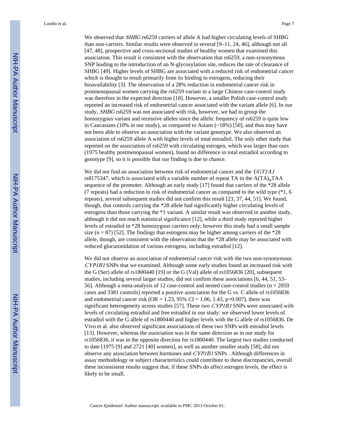Lundin et al. Page 7

We observed that SHBG rs6259 carriers of allele A had higher circulating levels of SHBG than non-carriers. Similar results were observed in several [9–11, 24, 46], although not all [47, 48], prospective and cross-sectional studies of healthy women that examined this association. This result is consistent with the observation that rs6259, a non-synonymous SNP leading to the introduction of an N-glycosylation site, reduces the rate of clearance of SHBG [49]. Higher levels of SHBG are associated with a reduced risk of endometrial cancer which is thought to result primarily from its binding to estrogens, reducing their bioavailability [3]. The observation of a 28% reduction in endometrial cancer risk in postmenopausal women carrying the rs6259 variant in a large Chinese case-control study was therefore in the expected direction [18]. However, a smaller Polish case-control study reported an increased risk of endometrial cancer associated with the variant allele [6]. In our study, SHBG rs6259 was not associated with risk, however, we had to group the homozygous variant and recessive alleles since the allelic frequency of rs6259 is quite low in Caucasians (10% in our study), as compared to Asians (~18%) [50], and thus may have not been able to observe an association with the variant genotype. We also observed an association of rs6259 allele A with higher levels of total estradiol. The only other study that reported on the association of rs6259 with circulating estrogen, which was larger than ours (1975 healthy postmenopausal women), found no difference in total estradiol according to genotype [9], so it is possible that our finding is due to chance.

We did not find an association between risk of endometrial cancer and the UGT1A1 rs8175347, which is associated with a variable number of repeat TA in the  $A(TA)_nTAA$ sequence of the promoter. Although an early study [17] found that carriers of the \*28 allele (7 repeats) had a reduction in risk of endometrial cancer as compared to the wild type  $(*1, 6)$ repeats), several subsequent studies did not confirm this result [23, 37, 44, 51]. We found, though, that controls carrying the \*28 allele had significantly higher circulating levels of estrogens than those carrying the \*1 variant. A similar result was observed in another study, although it did not reach statistical significance [12], while a third study reported higher levels of estradiol in \*28 homozygous carriers only; however this study had a small sample size ( $n = 87$ ) [52]. The findings that estrogens may be higher among carriers of the \*28 allele, though, are consistent with the observation that the \*28 allele may be associated with reduced glucuronidation of various estrogens, including estradiol [12].

We did not observe an association of endometrial cancer risk with the two non-synonymous CYP1B1 SNPs that we examined. Although some early studies found an increased risk with the G (Ser) allele of rs1800440 [19] or the G (Val) allele of rs1056836 [20], subsequent studies, including several larger studies, did not confirm these associations [6, 44, 51, 53– 56]. Although a meta-analysis of 12 case-control and nested case-control studies (n = 2059 cases and 3381 controls) reported a positive association for the G vs. C allele of rs1056836 and endometrial cancer risk (OR = 1.23, 95% CI = 1.06, 1.43, p=0.007), there was significant heterogeneity across studies [57]. These two CYP1B1 SNPs were associated with levels of circulating estradiol and free estradiol in our study: we observed lower levels of estradiol with the G allele of rs1800440 and higher levels with the G allele of rs1056836. De Vivo et al. also observed significant associations of these two SNPs with estradiol levels [13]. However, whereas the association was in the same direction as in our study for rs1056836, it was in the opposite direction for rs1800440. The largest two studies conducted to date [1975 [9] and 2721 [40] women], as well as another smaller study [58], did not observe any association between hormones and CYP1B1 SNPs . Although differences in assay methodology or subject characteristics could contribute to these discrepancies, overall these inconsistent results suggest that, if these SNPs do affect estrogen levels, the effect is likely to be small.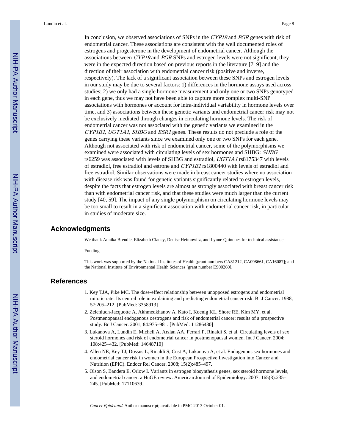In conclusion, we observed associations of SNPs in the CYP19 and PGR genes with risk of endometrial cancer. These associations are consistent with the well documented roles of estrogens and progesterone in the development of endometrial cancer. Although the associations between *CYP19* and *PGR* SNPs and estrogen levels were not significant, they were in the expected direction based on previous reports in the literature [7–9] and the direction of their association with endometrial cancer risk (positive and inverse, respectively). The lack of a significant association between these SNPs and estrogen levels in our study may be due to several factors: 1) differences in the hormone assays used across studies; 2) we only had a single hormone measurement and only one or two SNPs genotyped in each gene, thus we may not have been able to capture more complex multi-SNP associations with hormones or account for intra-individual variability in hormone levels over time, and 3) associations between these genetic variants and endometrial cancer risk may not be exclusively mediated through changes in circulating hormone levels. The risk of endometrial cancer was not associated with the genetic variants we examined in the CYP1B1, UGT1A1, SHBG and ESR1 genes. These results do not preclude a role of the genes carrying these variants since we examined only one or two SNPs for each gene. Although not associated with risk of endometrial cancer, some of the polymorphisms we examined were associated with circulating levels of sex hormones and SHBG: SHBG rs6259 was associated with levels of SHBG and estradiol, UGT1A1 rs8175347 with levels of estradiol, free estradiol and estrone and CYP1B1 rs1800440 with levels of estradiol and free estradiol. Similar observations were made in breast cancer studies where no association with disease risk was found for genetic variants significantly related to estrogen levels, despite the facts that estrogen levels are almost as strongly associated with breast cancer risk than with endometrial cancer risk, and that these studies were much larger than the current study [40, 59]. The impact of any single polymorphism on circulating hormone levels may be too small to result in a significant association with endometrial cancer risk, in particular in studies of moderate size.

#### **Acknowledgments**

We thank Annika Brendle, Elizabeth Clancy, Denise Heimowitz, and Lynne Quinones for technical assistance.

Funding

This work was supported by the National Institutes of Health [grant numbers CA81212, CA098661, CA16087]; and the National Institute of Environmental Health Sciences [grant number ES00260].

#### **References**

- 1. Key TJA, Pike MC. The dose-effect relationship between unopposed estrogens and endometrial mitotic rate: Its central role in explaining and predicting endometrial cancer risk. Br J Cancer. 1988; 57:205–212. [PubMed: 3358913]
- 2. Zeleniuch-Jacquotte A, Akhmedkhanov A, Kato I, Koenig KL, Shore RE, Kim MY, et al. Postmenopausal endogenous oestrogens and risk of endometrial cancer: results of a prospective study. Br J Cancer. 2001; 84:975–981. [PubMed: 11286480]
- 3. Lukanova A, Lundin E, Micheli A, Arslan AA, Ferrari P, Rinaldi S, et al. Circulating levels of sex steroid hormones and risk of endometrial cancer in postmenopausal women. Int J Cancer. 2004; 108:425–432. [PubMed: 14648710]
- 4. Allen NE, Key TJ, Dossus L, Rinaldi S, Cust A, Lukanova A, et al. Endogenous sex hormones and endometrial cancer risk in women in the European Prospective Investigation into Cancer and Nutrition (EPIC). Endocr Rel Cancer. 2008; 15(2):485–497.
- 5. Olson S, Bandera E, Orlow I. Variants in estrogen biosynthesis genes, sex steroid hormone levels, and endometrial cancer: a HuGE review. American Journal of Epidemiology. 2007; 165(3):235– 245. [PubMed: 17110639]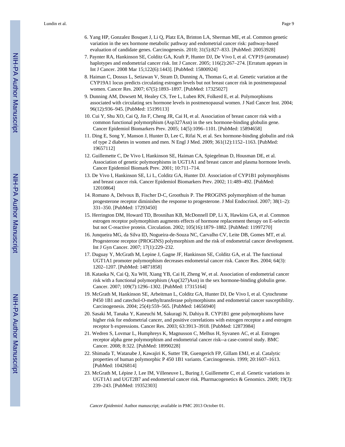- 6. Yang HP, Gonzalez Bosquet J, Li Q, Platz EA, Brinton LA, Sherman ME, et al. Common genetic variation in the sex hormone metabolic pathway and endometrial cancer risk: pathway-based evaluation of candidate genes. Carcinogenesis. 2010; 31(5):827–833. [PubMed: 20053928]
- 7. Paynter RA, Hankinson SE, Colditz GA, Kraft P, Hunter DJ, De Vivo I, et al. CYP19 (aromatase) haplotypes and endometrial cancer risk. Int J Cancer. 2005; 116(2):267–274. [Erratum appears in Int J Cancer. 2008 Mar 15;122(6):1443]. [PubMed: 15800924]
- 8. Haiman C, Dossus L, Setiawan V, Stram D, Dunning A, Thomas G, et al. Genetic variation at the CYP19A1 locus predicts circulating estrogen levels but not breast cancer risk in postmenopausal women. Cancer Res. 2007; 67(5):1893–1897. [PubMed: 17325027]
- 9. Dunning AM, Dowsett M, Healey CS, Tee L, Luben RN, Folkerd E, et al. Polymorphisms associated with circulating sex hormone levels in postmenopausal women. J Natl Cancer Inst. 2004; 96(12):936–945. [PubMed: 15199113]
- 10. Cui Y, Shu XO, Cai Q, Jin F, Cheng JR, Cai H, et al. Association of breast cancer risk with a common functional polymorphism (Asp327Asn) in the sex hormone-binding globulin gene. Cancer Epidemiol Biomarkers Prev. 2005; 14(5):1096–1101. [PubMed: 15894658]
- 11. Ding E, Song Y, Manson J, Hunter D, Lee C, Rifai N, et al. Sex hormone-binding globulin and risk of type 2 diabetes in women and men. N Engl J Med. 2009; 361(12):1152–1163. [PubMed: 19657112]
- 12. Guillemette C, De Vivo I, Hankinson SE, Haiman CA, Spiegelman D, Housman DE, et al. Association of genetic polymorphisms in UGT1A1 and breast cancer and plasma hormone levels. Cancer Epidemiol Biomark Prev. 2001; 10:711–714.
- 13. De Vivo I, Hankinson SE, Li L, Colditz GA, Hunter DJ. Association of CYP1B1 polymorphisms and breast cancer risk. Cancer Epidemiol Biomarkers Prev. 2002; 11:489–492. [PubMed: 12010864]
- 14. Romano A, Delvoux B, Fischer D-C, Groothuis P. The PROGINS polymorphism of the human progesterone receptor diminishes the response to progesterone. J Mol Endocrinol. 2007; 38(1–2): 331–350. [PubMed: 17293450]
- 15. Herrington DM, Howard TD, Brosnihan KB, McDonnell DP, Li X, Hawkins GA, et al. Common estrogen receptor polymorphism augments effects of hormone replacement therapy on E-selectin but not C-reactive protein. Circulation. 2002; 105(16):1879–1882. [PubMed: 11997270]
- 16. Junqueira MG, da Silva ID, Nogueira-de-Souza NC, Carvalho CV, Leite DB, Gomes MT, et al. Progesterone receptor (PROGINS) polymorphism and the risk of endometrial cancer development. Int J Gyn Cancer. 2007; 17(1):229–232.
- 17. Duguay Y, McGrath M, Lepine J, Gagne JF, Hankinson SE, Colditz GA, et al. The functional UGT1A1 promoter polymorphism decreases endometrial cancer risk. Cancer Res. 2004; 64(3): 1202–1207. [PubMed: 14871858]
- 18. Kataoka N, Cai Q, Xu WH, Xiang YB, Cai H, Zheng W, et al. Association of endometrial cancer risk with a functional polymorphism (Asp(327)Asn) in the sex hormone-binding globulin gene. Cancer. 2007; 109(7):1296–1302. [PubMed: 17315164]
- 19. McGrath M, Hankinson SE, Arbeitman L, Colditz GA, Hunter DJ, De Vivo I, et al. Cytochrome P450 1B1 and catechol-O-methyltransferase polymorphisms and endometrial cancer susceptibility. Carcinogenesis. 2004; 25(4):559–565. [PubMed: 14656940]
- 20. Sasaki M, Tanaka Y, Kaneuchi M, Sakuragi N, Dahiya R. CYP1B1 gene polymorphisms have higher risk for endometrial cancer, and positive correlations with estrogen receptor a and estrogen receptor b expressions. Cancer Res. 2003; 63:3913–3918. [PubMed: 12873984]
- 21. Wedren S, Lovmar L, Humphreys K, Magnusson C, Melhus H, Syvanen AC, et al. Estrogen receptor alpha gene polymorphism and endometrial cancer risk--a case-control study. BMC Cancer. 2008; 8:322. [PubMed: 18990228]
- 22. Shimada T, Watanabe J, Kawajiri K, Sutter TR, Guengerich FP, Gillam EMJ, et al. Catalytic properties of human polymorphic P 450 1B1 variants. Carcinogenesis. 1999; 20:1607–1613. [PubMed: 10426814]
- 23. McGrath M, Lépine J, Lee IM, Villeneuve L, Buring J, Guillemette C, et al. Genetic variations in UGT1A1 and UGT2B7 and endometrial cancer risk. Pharmacogenetics & Genomics. 2009; 19(3): 239–243. [PubMed: 19352303]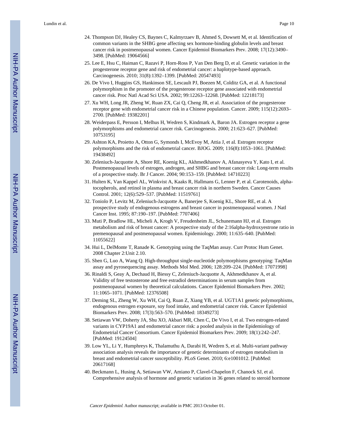- 24. Thompson DJ, Healey CS, Baynes C, Kalmyrzaev B, Ahmed S, Dowsett M, et al. Identification of common variants in the SHBG gene affecting sex hormone-binding globulin levels and breast cancer risk in postmenopausal women. Cancer Epidemiol Biomarkers Prev. 2008; 17(12):3490– 3498. [PubMed: 19064566]
- 25. Lee E, Hsu C, Haiman C, Razavi P, Horn-Ross P, Van Den Berg D, et al. Genetic variation in the progesterone receptor gene and risk of endometrial cancer: a haplotype-based approach. Carcinogenesis. 2010; 31(8):1392–1399. [PubMed: 20547493]
- 26. De Vivo I, Huggins GS, Hankinson SE, Lescault PJ, Boezen M, Colditz GA, et al. A functional polymorphism in the promoter of the progesterone receptor gene associated with endometrial cancer risk. Proc Natl Acad Sci USA. 2002; 99:12263–12268. [PubMed: 12218173]
- 27. Xu WH, Long JR, Zheng W, Ruan ZX, Cai Q, Cheng JR, et al. Association of the progesterone receptor gene with endometrial cancer risk in a Chinese population. Cancer. 2009; 115(12):2693– 2700. [PubMed: 19382201]
- 28. Weiderpass E, Persson I, Melhus H, Wedren S, Kindmark A, Baron JA. Estrogen receptor a gene polymorphisms and endometrial cancer risk. Carcinogenesis. 2000; 21:623–627. [PubMed: 10753195]
- 29. Ashton KA, Proietto A, Otton G, Symonds I, McEvoy M, Attia J, et al. Estrogen receptor polymorphisms and the risk of endometrial cancer. BJOG. 2009; 116(8):1053–1061. [PubMed: 19438492]
- 30. Zeleniuch-Jacquotte A, Shore RE, Koenig KL, Akhmedkhanov A, Afanasyeva Y, Kato I, et al. Postmenopausal levels of estrogen, androgen, and SHBG and breast cancer risk: Long-term results of a prospective study. Br J Cancer. 2004; 90:153–159. [PubMed: 14710223]
- 31. Hulten K, Van Kappel AL, Winkvist A, Kaaks R, Hallmans G, Lenner P, et al. Carotenoids, alphatocopherols, and retinol in plasma and breast cancer risk in northern Sweden. Cancer Causes Control. 2001; 12(6):529–537. [PubMed: 11519761]
- 32. Toniolo P, Levitz M, Zeleniuch-Jacquotte A, Banerjee S, Koenig KL, Shore RE, et al. A prospective study of endogenous estrogens and breast cancer in postmenopausal women. J Natl Cancer Inst. 1995; 87:190–197. [PubMed: 7707406]
- 33. Muti P, Bradlow HL, Micheli A, Krogh V, Freudenheim JL, Schunemann HJ, et al. Estrogen metabolism and risk of breast cancer: A prospective study of the 2:16alpha-hydroxyestrone ratio in premenopausal and postmenopausal women. Epidemiology. 2000; 11:635–640. [PubMed: 11055622]
- 34. Hui L, DelMonte T, Ranade K. Genotyping using the TaqMan assay. Curr Protoc Hum Genet. 2008 Chapter 2:Unit 2.10.
- 35. Shen G, Luo A, Wang Q. High-throughput single-nucleotide polymorphisms genotyping: TaqMan assay and pyrosequencing assay. Methods Mol Med. 2006; 128:209–224. [PubMed: 17071998]
- 36. Rinaldi S, Geay A, Dechaud H, Biessy C, Zeleniuch-Jacquotte A, Akhmedkhanov A, et al. Validity of free testosterone and free estradiol determinations in serum samples from postmenopausal women by theoretical calculations. Cancer Epidemiol Biomarkers Prev. 2002; 11:1065–1071. [PubMed: 12376508]
- 37. Deming SL, Zheng W, Xu WH, Cai Q, Ruan Z, Xiang YB, et al. UGT1A1 genetic polymorphisms, endogenous estrogen exposure, soy food intake, and endometrial cancer risk. Cancer Epidemiol Biomarkers Prev. 2008; 17(3):563–570. [PubMed: 18349273]
- 38. Setiawan VW, Doherty JA, Shu XO, Akbari MR, Chen C, De Vivo I, et al. Two estrogen-related variants in CYP19A1 and endometrial cancer risk: a pooled analysis in the Epidemiology of Endometrial Cancer Consortium. Cancer Epidemiol Biomarkers Prev. 2009; 18(1):242–247. [PubMed: 19124504]
- 39. Low YL, Li Y, Humphreys K, Thalamuthu A, Darabi H, Wedren S, et al. Multi-variant pathway association analysis reveals the importance of genetic determinants of estrogen metabolism in breast and endometrial cancer susceptibility. PLoS Genet. 2010; 6:e1001012. [PubMed: 20617168]
- 40. Beckmann L, Husing A, Setiawan VW, Amiano P, Clavel-Chapelon F, Chanock SJ, et al. Comprehensive analysis of hormone and genetic variation in 36 genes related to steroid hormone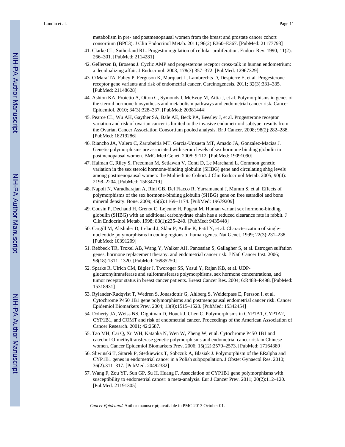metabolism in pre- and postmenopausal women from the breast and prostate cancer cohort consortium (BPC3). J Clin Endocrinol Metab. 2011; 96(2):E360–E367. [PubMed: 21177793]

- 41. Clarke CL, Sutherland RL. Progestin regulation of cellular proliferation. Endocr Rev. 1990; 11(2): 266–301. [PubMed: 2114281]
- 42. Gellersen B, Brosens J. Cyclic AMP and progesterone receptor cross-talk in human endometrium: a decidualizing affair. J Endocrinol. 2003; 178(3):357–372. [PubMed: 12967329]
- 43. O'Mara TA, Fahey P, Ferguson K, Marquart L, Lambrechts D, Despierre E, et al. Progesterone receptor gene variants and risk of endometrial cancer. Carcinogenesis. 2011; 32(3):331–335. [PubMed: 21148628]
- 44. Ashton KA, Proietto A, Otton G, Symonds I, McEvoy M, Attia J, et al. Polymorphisms in genes of the steroid hormone biosynthesis and metabolism pathways and endometrial cancer risk. Cancer Epidemiol. 2010; 34(3):328–337. [PubMed: 20381444]
- 45. Pearce CL, Wu AH, Gayther SA, Bale AE, Beck PA, Beesley J, et al. Progesterone receptor variation and risk of ovarian cancer is limited to the invasive endometrioid subtype: results from the Ovarian Cancer Association Consortium pooled analysis. Br J Cancer. 2008; 98(2):282–288. [PubMed: 18219286]
- 46. Riancho JA, Valero C, Zarrabeitia MT, Garcia-Unzueta MT, Amado JA, Gonzalez-Macias J. Genetic polymorphisms are associated with serum levels of sex hormone binding globulin in postmenopausal women. BMC Med Genet. 2008; 9:112. [PubMed: 19091090]
- 47. Haiman C, Riley S, Freedman M, Setiawan V, Conti D, Le Marchand L. Common genetic variation in the sex steroid hormone-binding globulin (SHBG) gene and circulating shbg levels among postmenopausal women: the Multiethnic Cohort. J Clin Endocrinol Metab. 2005; 90(4): 2198–2204. [PubMed: 15634719]
- 48. Napoli N, Varadharajan A, Rini GB, Del Fiacco R, Yarramaneni J, Mumm S, et al. Effects of polymorphisms of the sex hormone-binding globulin (SHBG) gene on free estradiol and bone mineral density. Bone. 2009; 45(6):1169–1174. [PubMed: 19679209]
- 49. Cousin P, Dechaud H, Grenot C, Lejeune H, Pugeat M. Human variant sex hormone-binding globulin (SHBG) with an additional carbohydrate chain has a reduced clearance rate in rabbit. J Clin Endocrinol Metab. 1998; 83(1):235–240. [PubMed: 9435448]
- 50. Cargill M, Altshuler D, Ireland J, Sklar P, Ardlie K, Patil N, et al. Characterization of singlenucleotide polymorphisms in coding regions of human genes. Nat Genet. 1999; 22(3):231–238. [PubMed: 10391209]
- 51. Rebbeck TR, Troxel AB, Wang Y, Walker AH, Panossian S, Gallagher S, et al. Estrogen sulfation genes, hormone replacement therapy, and endometrial cancer risk. J Natl Cancer Inst. 2006; 98(18):1311–1320. [PubMed: 16985250]
- 52. Sparks R, Ulrich CM, Bigler J, Tworoger SS, Yasui Y, Rajan KB, et al. UDPglucuronyltransferase and sulfotransferase polymorphisms, sex hormone concentrations, and tumor receptor status in breast cancer patients. Breast Cancer Res. 2004; 6:R488–R498. [PubMed: 15318931]
- 53. Rylander-Rudqvist T, Wedren S, Jonasdottir G, Ahlberg S, Weiderpass E, Persson I, et al. Cytochrome P450 1B1 gene polymorphisms and postmenopausal endometrial cancer risk. Cancer Epidemiol Biomarkers Prev. 2004; 13(9):1515–1520. [PubMed: 15342454]
- 54. Doherty JA, Weiss NS, Dightman D, Houck J, Chen C. Polymorphisms in CYP1A1, CYP1A2, CYP1B1, and COMT and risk of endometrial cancer. Proceedings of the American Association of Cancer Research. 2001; 42:2687.
- 55. Tao MH, Cai Q, Xu WH, Kataoka N, Wen W, Zheng W, et al. Cytochrome P450 1B1 and catechol-O-methyltransferase genetic polymorphisms and endometrial cancer risk in Chinese women. Cancer Epidemiol Biomarkers Prev. 2006; 15(12):2570–2573. [PubMed: 17164389]
- 56. Sliwinski T, Sitarek P, Stetkiewicz T, Sobczuk A, Blasiak J. Polymorphism of the ERalpha and CYP1B1 genes in endometrial cancer in a Polish subpopulation. J Obstet Gynaecol Res. 2010; 36(2):311–317. [PubMed: 20492382]
- 57. Wang F, Zou YF, Sun GP, Su H, Huang F. Association of CYP1B1 gene polymorphisms with susceptibility to endometrial cancer: a meta-analysis. Eur J Cancer Prev. 2011; 20(2):112–120. [PubMed: 21191305]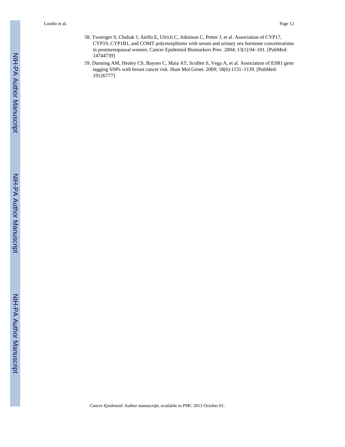- 58. Tworoger S, Chubak J, Aiello E, Ulrich C, Atkinson C, Potter J, et al. Association of CYP17, CYP19, CYP1B1, and COMT polymorphisms with serum and urinary sex hormone concentrations in postmenopausal women. Cancer Epidemiol Biomarkers Prev. 2004; 13(1):94–101. [PubMed: 14744739]
- 59. Dunning AM, Healey CS, Baynes C, Maia AT, Scollen S, Vega A, et al. Association of ESR1 gene tagging SNPs with breast cancer risk. Hum Mol Genet. 2009; 18(6):1131–1139. [PubMed: 19126777]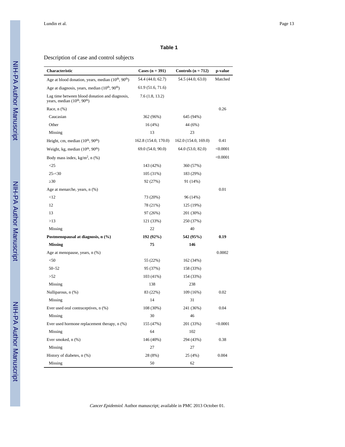#### **Table 1**

#### Description of case and control subjects

| Characteristic                                                                 | Cases $(n = 391)$    | Controls $(n = 712)$ | p-value  |
|--------------------------------------------------------------------------------|----------------------|----------------------|----------|
| Age at blood donation, years, median (10 <sup>th</sup> , 90 <sup>th</sup> )    | 54.4 (44.0, 62.7)    | 54.5 (44.0, 63.0)    | Matched  |
| Age at diagnosis, years, median $(10th, 90th)$                                 | 61.9 (51.6, 71.6)    |                      |          |
| Lag time between blood donation and diagnosis,<br>years, median $(10th, 90th)$ | 7.6(1.8, 13.2)       |                      |          |
| Race, $n$ $(\%)$                                                               |                      |                      | 0.26     |
| Caucasian                                                                      | 362 (96%)            | 645 (94%)            |          |
| Other                                                                          | 16(4%)               | 44 (6%)              |          |
| Missing                                                                        | 13                   | 23                   |          |
| Height, cm, median $(10^{th}, 90^{th})$                                        | 162.8 (154.0, 170.0) | 162.0 (154.0, 169.0) | 0.41     |
| Weight, kg, median (10 <sup>th</sup> , 90 <sup>th</sup> )                      | 69.0 (54.0, 90.0)    | 64.0 (53.0, 82.0)    | < 0.0001 |
| Body mass index, $kg/m^2$ , n (%)                                              |                      |                      | < 0.0001 |
| $\leq$ 25                                                                      | 143 (42%)            | 360 (57%)            |          |
| $25 - 30$                                                                      | 105 (31%)            | 183 (29%)            |          |
| 30                                                                             | 92 (27%)             | 91 (14%)             |          |
| Age at menarche, years, n (%)                                                  |                      |                      | 0.01     |
| <12                                                                            | 73 (20%)             | 96 (14%)             |          |
| 12                                                                             | 78 (21%)             | 125 (19%)            |          |
| 13                                                                             | 97 (26%)             | 201 (30%)            |          |
| >13                                                                            | 121 (33%)            | 250 (37%)            |          |
| Missing                                                                        | 22                   | 40                   |          |
| Postmenopausal at diagnosis, n (%)                                             | 192 (92%)            | 542 (95%)            | 0.19     |
| <b>Missing</b>                                                                 | 75                   | 146                  |          |
| Age at menopause, years, n (%)                                                 |                      |                      | 0.0002   |
| $50$                                                                           | 55 (22%)             | 162 (34%)            |          |
| $50 - 52$                                                                      | 95 (37%)             | 158 (33%)            |          |
| >52                                                                            | 103 (41%)            | 154 (33%)            |          |
| Missing                                                                        | 138                  | 238                  |          |
| Nulliparous, n (%)                                                             | 83 (22%)             | 109 (16%)            | 0.02     |
| Missing                                                                        | 14                   | 31                   |          |
| Ever used oral contraceptives, n (%)                                           | 108 (30%)            | 241 (36%)            | 0.04     |
| Missing                                                                        | 30                   | 46                   |          |
| Ever used hormone replacement therapy, n (%)                                   | 155 (47%)            | 201 (33%)            | < 0.0001 |
| Missing                                                                        | 64                   | 102                  |          |
| Ever smoked, n (%)                                                             | 146 (40%)            | 294 (43%)            | 0.38     |
| Missing                                                                        | 27                   | 27                   |          |
| History of diabetes, n (%)                                                     | 28 (8%)              | 25 (4%)              | 0.004    |
| Missing                                                                        | 50                   | 62                   |          |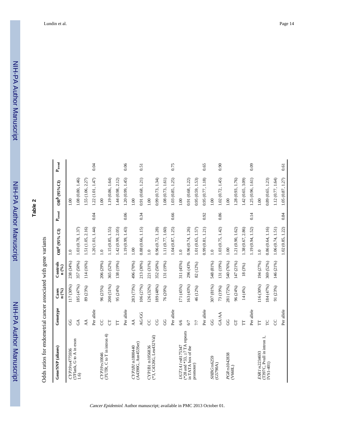**Table 2**

NIH-PA Author Manuscript

NIH-PA Author Manuscript

| Gene/SNP (aliases)                                 | Genotype       | Cases<br>n (%) | Controls<br>n (%) | $OR^{d}$ (95% CI) | $\mathbf{P}_{\text{trend}}$ | $ORb$ (95%CI)     | $\mathbf{P}_{\text{trend}}$ |
|----------------------------------------------------|----------------|----------------|-------------------|-------------------|-----------------------------|-------------------|-----------------------------|
| CYP19rs4775936                                     | 8              | 117 (30%)      | 238 (34%)         | 1.0               |                             | 1.00              |                             |
| 5'Flank, G to A in exon<br>1.6)                    | $\mathfrak{S}$ | 185 (47%)      | 357 (50%)         | 1.03 (0.78, 1.37) |                             | 1.08 (0.80, 1.46) |                             |
|                                                    | AA             | 89 (23%)       | 114 (16%)         | 1.51 (1.05, 2.16) |                             | 1.55 (1.06, 2.27) |                             |
|                                                    | Per allele     |                |                   | 1.20 (1.01, 1.44) | 0.04                        | 1.22(1.01, 1.47)  | 0.04                        |
| CYP19 <sub>rs10046</sub>                           | 8              | 96 (25%)       | 206 (29%)         | 1.0               |                             | 00.1              |                             |
| (3'UTR, C to T in intron 4)                        | $\overline{5}$ | 200 (51%)      | 365 (52%)         | 1.15 (0.85, 1.55) |                             | 1.19 (0.86, 1.64) |                             |
|                                                    | E              | 95 (24%)       | 138 (19%)         | 1.42 (0.99, 2.05) |                             | 1.44(0.98, 2.12)  |                             |
|                                                    | Per allele     |                |                   | 1.19 (0.99, 1.43) | 0.06                        | 1.20(0.99, 1.45)  | 0.06                        |
| CYPIB1 rs1800440                                   | $\overline{A}$ | 283 (73%)      | 496 (70%)         | 1.00              |                             | 00.1              |                             |
| (A4390G, Asn453Ser)                                | AG/GG          | 106 (27%)      | 213 (30%)         | 0.88 (0.66, 1.15) | 0.34                        | 0.91(0.68, 1.21)  | 0.51                        |
| CYP1B1 rs1056836                                   | g              | 126 (32%)      | 221 (31%)         | $\overline{1.0}$  |                             | 1.00              |                             |
| (*3, C4326G, Leu432Val)                            | g              | 189 (48%)      | 352 (50%)         | 0.96(0.72, 1.28)  |                             | 0.99(0.73, 1.34)  |                             |
|                                                    | 8              | 76 (20%)       | 131 (19%)         | 1.11 (0.77, 1.60) |                             | 1.08(0.73, 1.61)  |                             |
|                                                    | Per allele     |                |                   | 1.04 (0.87, 1.25) | 0.66                        | 1.03 (0.85, 1.25) | 0.75                        |
| UGT1A1 rs8175347                                   | 6/6            | 171 (45%)      | 311 (45%)         | $\overline{1.0}$  |                             | 00.1              |                             |
| (*28 and *33, $7$ TA repeats<br>in TATA box of the | 67             | 163 (43%)      | 296 (43%          | 0.96(0.74, 1.26)  |                             | 0.91(0.68, 1.22)  |                             |
| promoter)                                          | 77             | 46 (12%)       | 82 (12%)          | 1.01 (0.65, 1.57) |                             | 0.95(0.59, 1.53)  |                             |
|                                                    | Per allele     |                |                   | 0.99(0.81, 1.21)  | 0.92                        | 0.95 (0.77, 1.18) | 0.65                        |
| SHBG <sub>rs6259</sub>                             | 8              | 307 (81%)      | 548 (81%)         | $\ddot{ }$ .0     |                             | 1.00              |                             |
| (G5790A)                                           | <b>GA/AA</b>   | 73 (19%)       | 131 (19%)         | 1.03 (0.75, 1.42) | 0.86                        | 1.02 (0.72, 1.45) | 0.90                        |
| PGR rs1042838                                      | 8              | 281 (72%)      | 540 (76%)         | 1.00              |                             | 1.00              |                             |
| (V660L)                                            | 5              | 96 (24%)       | 147 (21%)         | 1.21 (0.90, 1.62) |                             | 1.28 (0.93, 1.76) |                             |
|                                                    | Ë              | 14(4%)         | 18 (3%)           | 1.38 (0.67, 2.86) |                             | 1.42 (0.65, 3.09) |                             |
|                                                    | Per allele     |                |                   | 1.19 (0.94, 1.52) | 0.14                        | 1.25(0.96, 1.61)  | 0.09                        |
| ESRI rs2234693                                     | Ë              | 116 (30%)      | 194 (27%)         | $\ddot{=}$        |                             | 00.1              |                             |
| (T397C, Pvull in intron 1,<br>[VS1-401]            | P              | 184 (47%)      | 369 (52%)         | 0.86(0.64, 1.16)  |                             | 0.89 (0.65, 1.23) |                             |
|                                                    | S              | 91 (23%)       | 146 (21%)         | 1.06(0.74, 1.51)  |                             | 1.12(0.77, 1.64)  |                             |
|                                                    | Per allele     |                |                   | 1.02 (0.85, 1.22) | 0.84                        | 1.05 (0.87, 1.27) | 0.61                        |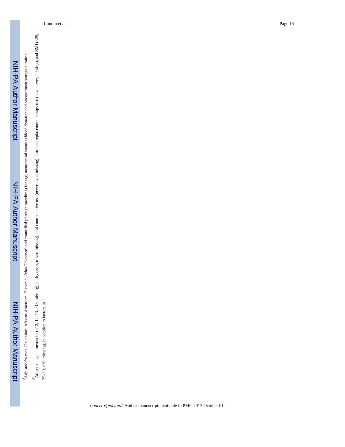<sup>2</sup>Adjusted for race (Caucasian, African-American, Hispanic, Other/Unknown) and controlled (through matching) for age, menopausal status at blood donation and biospecimen storage duration. Adjusted for race (Caucasian, African-American, Hispanic, Other/Unknown) and controlled (through matching) for age, menopausal status at blood donation and biospecimen storage duration.

 $^b$ Adjusted, age at menarche (<12, 12, 13, >13, missing), parity (ever, never, missing), oral contraceptive use (never, ever, missing), hormone replacement therapy use (never, ever, missing), and BMI (<25, Adjusted, age at menarche (<12, 12, 13, >13, missing), parity (ever, never, missing), oral contraceptive use (never, ever, missing), hormone replacement therapy use (never, ever, missing), and BMI (<25, 25–30, >30, missing), in addition to factors in 25-30, >30, missing), in addition to factors in  $<sup>1</sup>$ .</sup>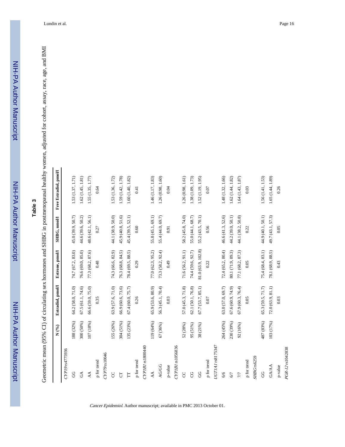# **Table 3**

Geometric mean (95% CI) of circulating sex hormones and SHBG in postmenopausal healthy women, adjusted for cohort, assay, race, age, and BMI Geometric mean (95% CI) of circulating sex hormones and SHBG in postmenopausal healthy women, adjusted for cohort, assay, race, age, and BMI

|                             | $N($ % $)$ | Estradiol, pmol/l | Estrone, pmol/l    | SHBG, nmol/l      | Free Estradiol, pmol/l |
|-----------------------------|------------|-------------------|--------------------|-------------------|------------------------|
| CYP19rs4775936              |            |                   |                    |                   |                        |
| SO                          | 188 (32%)  | 64.2 (58.0, 71.0) | 74.7 (67.2, 83.0)  | 45.0 (39.9, 50.7) | 1.53 (1.37, 1.71)      |
| $\mathfrak{S}$              | 300 (50%)  | 67.5 (61.1, 74.6) | 76.6 (69.0, 85.0)  | 44.6 (39.6, 50.2) | 1.62(1.45, 1.81)       |
| AA                          | 107 (18%)  | 66.6 (59.0, 75.0) | 77.3 (68.2, 87.6)  | 48.6 (42.1, 56.1) | 1.55 (1.35, 1.77)      |
| p for trend                 |            | 0.35              | 0.48               | 0.27              | 0.64                   |
| CYP79 <sub>rs10046</sub>    |            |                   |                    |                   |                        |
| <b>CC</b>                   | 155 (26%)  | 63.9 (57.6, 71.0) | 74.3 (66.6, 82.9)  | 44.1 (38.9, 50.0) | 1.53 (1.36, 1.72)      |
| 5                           | 304 (51%)  | 66.9 (60.6, 73.6) | 76.3(68.8, 84.5)   | 45.9 (40.8, 51.6) | 1.59 (1.42, 1.78)      |
| $\overline{\Gamma}$         | 135 (23%)  | 67.4 (60.0, 75.7) | 78.4 (69.5, 88.5)  | 45.4 (39.5, 52.1) | 1.60 (1.40, 1.82)      |
| p for trend                 |            | 0.26              | 0.29               | 0.60              | 0.41                   |
| CYPIB1 <sub>IS1800440</sub> |            |                   |                    |                   |                        |
| AA                          | 119 (64%)  | 65.9 (53.6, 80.9) | 77.0 (62.3, 95.2)  | 55.8 (45.1, 69.1) | 1.46 (1.17, 1.83)      |
| <b>AG/GG</b>                | 67 (36%)   | 56.3 (45.1, 70.4) | 73.3 (58.2, 92.4)  | 55.4 (44.0, 69.7) | 1.26(0.98, 1.60)       |
| p-value                     |            | 0.03              | 64.0               | 0.91              | 0.04                   |
| CYPIBI rs1056836            |            |                   |                    |                   |                        |
| S                           | 52 (28%)   | 57.0 (45.3, 71.8) | 71.6 (56.2, 91.1)  | 58.2 (45.8, 74.0) | 1.26(0.98, 1.61)       |
| g                           | 95 (51%)   | 62.1 (50.1, 76.8) | 74.4 (59.6, 92.7)  | 55.0 (44.1, 68.7) | 1.38 (1.09, 1.73)      |
| 9                           | 38 (21%)   | 67.7(53.7, 85.1)  | 81.0 (63.9, 102.8) | 55.2 (43.5, 70.1) | 1.52 (1.19, 1.95)      |
| p for trend                 |            | 0.07              | 0.22               | 0.56              | 0.07                   |
| UGTIAI rs8175347            |            |                   |                    |                   |                        |
| 6/6                         | 264 (45%)  | 63.0 (57.0, 69.7) | 72.4(65.2, 80.4)   | 46.6 (41.3, 52.6) | 1.48 (1.32, 1.66)      |
| 6/7                         | 230 (39%)  | 67.6 (60.9, 74.9) | 80.1 (71.9, 89.3)  | 44.2 (39.0, 50.1) | 1.62(1.44, 1.82)       |
| $7/7$                       | 92 (16%)   | 67.9(60.3, 76.4)  | 77.1 (68.2, 87.3)  | 44.1 (38.2, 50.8) | 1.64(1.43, 1.87)       |
| p for trend                 |            | 0.05              | 0.05               | 0.22              | 0.03                   |
| SHBG <sub>rs6259</sub>      |            |                   |                    |                   |                        |
| 99                          | 487 (83%)  | 65.3 (59.5, 71.7) | 75.4(68.4, 83.1)   | 44.9 (40.1, 50.1) | 1.56 (1.41, 1.53)      |
| GA/AA                       | 103 (17%)  | 72.0(63.9, 81.1)  | 78.1 (68.9, 88.5)  | 49.7 (43.1, 57.3) | 1.65(1.44, 1.89)       |
| p-value                     |            | 0.03              | 0.43               | 0.05              | 0.26                   |
| PGR-12rs1042838             |            |                   |                    |                   |                        |